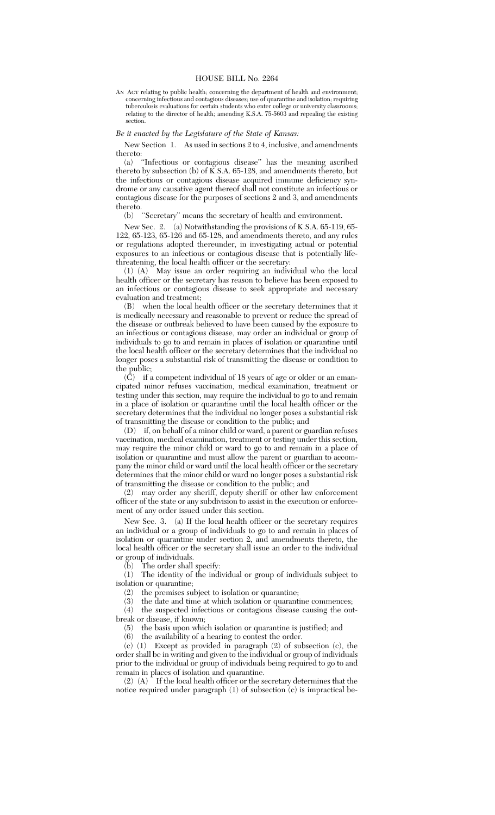## HOUSE BILL No. 2264

AN ACT relating to public health; concerning the department of health and environment; concerning infectious and contagious diseases; use of quarantine and isolation; requiring tuberculosis evaluations for certain students who enter college or university classrooms; relating to the director of health; amending K.S.A. 75-5603 and repealing the existing section.

## *Be it enacted by the Legislature of the State of Kansas:*

## New Section 1. As used in sections 2 to 4, inclusive, and amendments thereto:

(a) ''Infectious or contagious disease'' has the meaning ascribed thereto by subsection (b) of  $\breve{K}$ .S.A. 65-128, and amendments thereto, but the infectious or contagious disease acquired immune deficiency syndrome or any causative agent thereof shall not constitute an infectious or contagious disease for the purposes of sections 2 and 3, and amendments thereto.

(b) ''Secretary'' means the secretary of health and environment.

New Sec. 2. (a) Notwithstanding the provisions of K.S.A. 65-119, 65- 122, 65-123, 65-126 and 65-128, and amendments thereto, and any rules or regulations adopted thereunder, in investigating actual or potential exposures to an infectious or contagious disease that is potentially lifethreatening, the local health officer or the secretary:

(1) (A) May issue an order requiring an individual who the local health officer or the secretary has reason to believe has been exposed to an infectious or contagious disease to seek appropriate and necessary evaluation and treatment;

(B) when the local health officer or the secretary determines that it is medically necessary and reasonable to prevent or reduce the spread of the disease or outbreak believed to have been caused by the exposure to an infectious or contagious disease, may order an individual or group of individuals to go to and remain in places of isolation or quarantine until the local health officer or the secretary determines that the individual no longer poses a substantial risk of transmitting the disease or condition to the public;

(C) if a competent individual of 18 years of age or older or an emancipated minor refuses vaccination, medical examination, treatment or testing under this section, may require the individual to go to and remain in a place of isolation or quarantine until the local health officer or the secretary determines that the individual no longer poses a substantial risk of transmitting the disease or condition to the public; and<br>(D) if, on behalf of a minor child or ward, a parent or  $\sigma$ 

if, on behalf of a minor child or ward, a parent or guardian refuses vaccination, medical examination, treatment or testing under this section, may require the minor child or ward to go to and remain in a place of isolation or quarantine and must allow the parent or guardian to accompany the minor child or ward until the local health officer or the secretary determines that the minor child or ward no longer poses a substantial risk of transmitting the disease or condition to the public; and

(2) may order any sheriff, deputy sheriff or other law enforcement officer of the state or any subdivision to assist in the execution or enforcement of any order issued under this section.

New Sec. 3. (a) If the local health officer or the secretary requires an individual or a group of individuals to go to and remain in places of isolation or quarantine under section 2, and amendments thereto, the local health officer or the secretary shall issue an order to the individual or group of individuals.

(b) The order shall specify:

(1) The identity of the individual or group of individuals subject to isolation or quarantine;<br>(2) the premises  $\sin$ 

 $(2)$  the premises subject to isolation or quarantine;<br> $(3)$  the date and time at which isolation or quarant

the date and time at which isolation or quarantine commences;

(4) the suspected infectious or contagious disease causing the outbreak or disease, if known;

(5) the basis upon which isolation or quarantine is justified; and

(6) the availability of a hearing to contest the order.

(c) (1) Except as provided in paragraph (2) of subsection (c), the order shall be in writing and given to the individual or group of individuals prior to the individual or group of individuals being required to go to and remain in places of isolation and quarantine.

 $(2)$   $(A)$  If the local health officer or the secretary determines that the notice required under paragraph (1) of subsection (c) is impractical be-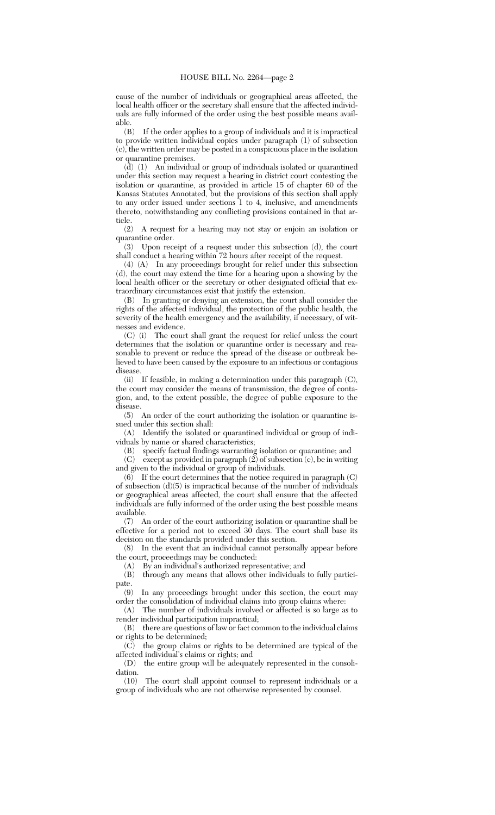cause of the number of individuals or geographical areas affected, the local health officer or the secretary shall ensure that the affected individuals are fully informed of the order using the best possible means available.

(B) If the order applies to a group of individuals and it is impractical to provide written individual copies under paragraph (1) of subsection (c), the written order may be posted in a conspicuous place in the isolation or quarantine premises.

(d) (1) An individual or group of individuals isolated or quarantined under this section may request a hearing in district court contesting the isolation or quarantine, as provided in article 15 of chapter 60 of the Kansas Statutes Annotated, but the provisions of this section shall apply to any order issued under sections 1 to 4, inclusive, and amendments thereto, notwithstanding any conflicting provisions contained in that ar-

ticle.<br> $(2)$ (2) A request for a hearing may not stay or enjoin an isolation or quarantine order.

(3) Upon receipt of a request under this subsection (d), the court shall conduct a hearing within 72 hours after receipt of the request.

(4) (A) In any proceedings brought for relief under this subsection (d), the court may extend the time for a hearing upon a showing by the local health officer or the secretary or other designated official that extraordinary circumstances exist that justify the extension.

(B) In granting or denying an extension, the court shall consider the rights of the affected individual, the protection of the public health, the severity of the health emergency and the availability, if necessary, of witnesses and evidence.

(C) (i) The court shall grant the request for relief unless the court determines that the isolation or quarantine order is necessary and reasonable to prevent or reduce the spread of the disease or outbreak believed to have been caused by the exposure to an infectious or contagious disease.

(ii) If feasible, in making a determination under this paragraph (C), the court may consider the means of transmission, the degree of contagion, and, to the extent possible, the degree of public exposure to the disease.

(5) An order of the court authorizing the isolation or quarantine issued under this section shall:

(A) Identify the isolated or quarantined individual or group of individuals by name or shared characteristics;

(B) specify factual findings warranting isolation or quarantine; and

(C) except as provided in paragraph  $(2)$  of subsection  $(c)$ , be in writing and given to the individual or group of individuals.

 $(6)$  If the court determines that the notice required in paragraph  $(C)$ of subsection  $(d)(5)$  is impractical because of the number of individuals or geographical areas affected, the court shall ensure that the affected individuals are fully informed of the order using the best possible means available.

(7) An order of the court authorizing isolation or quarantine shall be effective for a period not to exceed  $30$  days. The court shall base its decision on the standards provided under this section.

(8) In the event that an individual cannot personally appear before the court, proceedings may be conducted:

(A) By an individual's authorized representative; and

(B) through any means that allows other individuals to fully participate.<br> $(9)$ 

In any proceedings brought under this section, the court may order the consolidation of individual claims into group claims where:

(A) The number of individuals involved or affected is so large as to render individual participation impractical;

(B) there are questions of law or fact common to the individual claims or rights to be determined;

(C) the group claims or rights to be determined are typical of the affected individual's claims or rights; and

(D) the entire group will be adequately represented in the consoli-

 $\frac{\text{dation.}}{\text{(10)}}$ The court shall appoint counsel to represent individuals or a group of individuals who are not otherwise represented by counsel.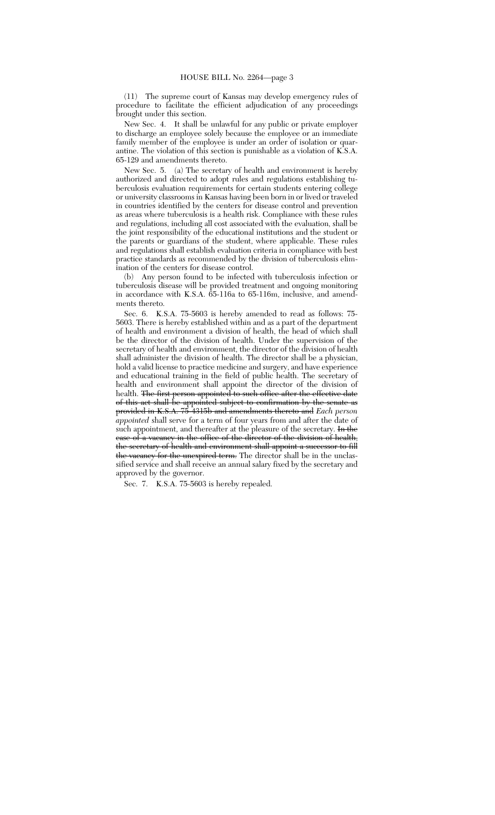(11) The supreme court of Kansas may develop emergency rules of procedure to facilitate the efficient adjudication of any proceedings brought under this section.

New Sec. 4. It shall be unlawful for any public or private employer to discharge an employee solely because the employee or an immediate family member of the employee is under an order of isolation or quarantine. The violation of this section is punishable as a violation of K.S.A. 65-129 and amendments thereto.

New Sec. 5. (a) The secretary of health and environment is hereby authorized and directed to adopt rules and regulations establishing tuberculosis evaluation requirements for certain students entering college or university classrooms in Kansas having been born in or lived or traveled in countries identified by the centers for disease control and prevention as areas where tuberculosis is a health risk. Compliance with these rules and regulations, including all cost associated with the evaluation, shall be the joint responsibility of the educational institutions and the student or the parents or guardians of the student, where applicable. These rules and regulations shall establish evaluation criteria in compliance with best practice standards as recommended by the division of tuberculosis elimination of the centers for disease control.

(b) Any person found to be infected with tuberculosis infection or tuberculosis disease will be provided treatment and ongoing monitoring in accordance with K.S.A. 65-116a to 65-116m, inclusive, and amendments thereto.

Sec. 6. K.S.A. 75-5603 is hereby amended to read as follows: 75- 5603. There is hereby established within and as a part of the department of health and environment a division of health, the head of which shall be the director of the division of health. Under the supervision of the secretary of health and environment, the director of the division of health shall administer the division of health. The director shall be a physician, hold a valid license to practice medicine and surgery, and have experience and educational training in the field of public health. The secretary of health and environment shall appoint the director of the division of health. <del>The first person appointed to such office after the effective date</del> of this act shall be appointed subject to confirmation by the senate as provided in K.S.A. 75-4315b and amendments thereto and *Each person appointed* shall serve for a term of four years from and after the date of such appointment, and thereafter at the pleasure of the secretary. In the case of a vacancy in the office of the director of the division of health, the secretary of health and environment shall appoint a successor to fill the vacancy for the unexpired term. The director shall be in the unclassified service and shall receive an annual salary fixed by the secretary and approved by the governor.

Sec. 7. K.S.A. 75-5603 is hereby repealed.